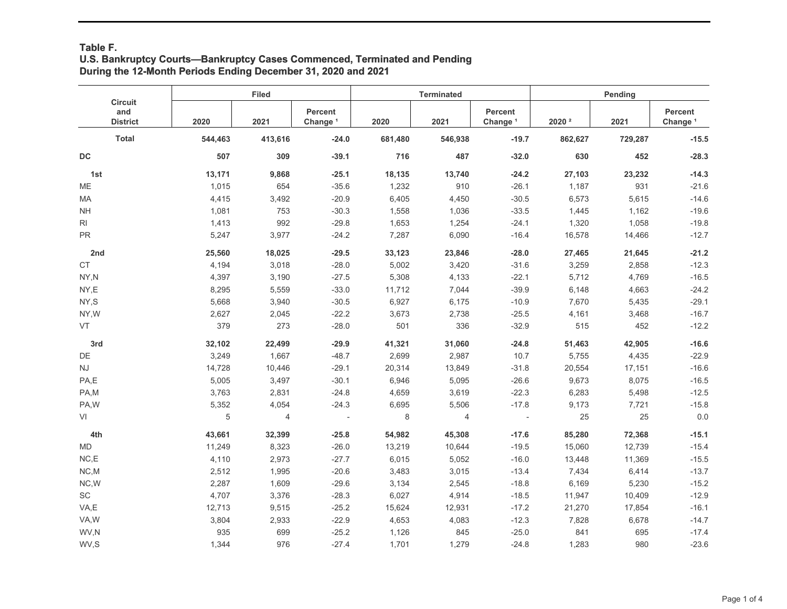## **Table F. U.S. Bankruptcy Courts—Bankruptcy Cases Commenced, Terminated and Pending During the 12-Month Periods Ending December 31, 2020 and 2021**

|                                          |         | <b>Filed</b> |                                |         | <b>Terminated</b> |                                | Pending           |         |                                |
|------------------------------------------|---------|--------------|--------------------------------|---------|-------------------|--------------------------------|-------------------|---------|--------------------------------|
| <b>Circuit</b><br>and<br><b>District</b> | 2020    | 2021         | Percent<br>Change <sup>1</sup> | 2020    | 2021              | Percent<br>Change <sup>1</sup> | 2020 <sup>2</sup> | 2021    | Percent<br>Change <sup>1</sup> |
| <b>Total</b>                             | 544,463 | 413,616      | $-24.0$                        | 681,480 | 546,938           | $-19.7$                        | 862,627           | 729,287 | $-15.5$                        |
| $\mathsf{DC}$                            | 507     | 309          | $-39.1$                        | 716     | 487               | $-32.0$                        | 630               | 452     | $-28.3$                        |
| 1st                                      | 13,171  | 9,868        | $-25.1$                        | 18,135  | 13,740            | $-24.2$                        | 27,103            | 23,232  | $-14.3$                        |
| <b>ME</b>                                | 1,015   | 654          | $-35.6$                        | 1,232   | 910               | $-26.1$                        | 1,187             | 931     | $-21.6$                        |
| MA                                       | 4,415   | 3,492        | $-20.9$                        | 6,405   | 4,450             | $-30.5$                        | 6,573             | 5,615   | $-14.6$                        |
| $\mathsf{NH}\,$                          | 1,081   | 753          | $-30.3$                        | 1,558   | 1,036             | $-33.5$                        | 1,445             | 1,162   | $-19.6$                        |
| RI                                       | 1,413   | 992          | $-29.8$                        | 1,653   | 1,254             | $-24.1$                        | 1,320             | 1,058   | $-19.8$                        |
| PR                                       | 5,247   | 3,977        | $-24.2$                        | 7,287   | 6,090             | $-16.4$                        | 16,578            | 14,466  | $-12.7$                        |
| 2nd                                      | 25,560  | 18,025       | $-29.5$                        | 33,123  | 23,846            | $-28.0$                        | 27,465            | 21,645  | $-21.2$                        |
| <b>CT</b>                                | 4,194   | 3,018        | $-28.0$                        | 5,002   | 3,420             | $-31.6$                        | 3,259             | 2,858   | $-12.3$                        |
| NY,N                                     | 4,397   | 3,190        | $-27.5$                        | 5,308   | 4,133             | $-22.1$                        | 5,712             | 4,769   | $-16.5$                        |
| NY,E                                     | 8,295   | 5,559        | $-33.0$                        | 11,712  | 7,044             | $-39.9$                        | 6,148             | 4,663   | $-24.2$                        |
| NY,S                                     | 5,668   | 3,940        | $-30.5$                        | 6,927   | 6,175             | $-10.9$                        | 7,670             | 5,435   | $-29.1$                        |
| NY, W                                    | 2,627   | 2,045        | $-22.2$                        | 3,673   | 2,738             | $-25.5$                        | 4,161             | 3,468   | $-16.7$                        |
| <b>VT</b>                                | 379     | 273          | $-28.0$                        | 501     | 336               | $-32.9$                        | 515               | 452     | $-12.2$                        |
| 3rd                                      | 32,102  | 22,499       | $-29.9$                        | 41,321  | 31,060            | $-24.8$                        | 51,463            | 42,905  | $-16.6$                        |
| DE                                       | 3,249   | 1,667        | $-48.7$                        | 2,699   | 2,987             | 10.7                           | 5,755             | 4,435   | $-22.9$                        |
| <b>NJ</b>                                | 14,728  | 10,446       | $-29.1$                        | 20,314  | 13,849            | $-31.8$                        | 20,554            | 17,151  | $-16.6$                        |
| PA,E                                     | 5,005   | 3,497        | $-30.1$                        | 6,946   | 5,095             | $-26.6$                        | 9,673             | 8,075   | $-16.5$                        |
| PA,M                                     | 3,763   | 2,831        | $-24.8$                        | 4,659   | 3,619             | $-22.3$                        | 6,283             | 5,498   | $-12.5$                        |
| PA,W                                     | 5,352   | 4,054        | $-24.3$                        | 6,695   | 5,506             | $-17.8$                        | 9,173             | 7,721   | $-15.8$                        |
| VI                                       | 5       | 4            | $\overline{a}$                 | 8       | 4                 | $\overline{\phantom{a}}$       | 25                | 25      | $0.0\,$                        |
| 4th                                      | 43,661  | 32,399       | $-25.8$                        | 54,982  | 45,308            | $-17.6$                        | 85,280            | 72,368  | $-15.1$                        |
| <b>MD</b>                                | 11,249  | 8,323        | $-26.0$                        | 13,219  | 10,644            | $-19.5$                        | 15,060            | 12,739  | $-15.4$                        |
| NC.E                                     | 4,110   | 2,973        | $-27.7$                        | 6,015   | 5,052             | $-16.0$                        | 13,448            | 11,369  | $-15.5$                        |
| NC, M                                    | 2,512   | 1,995        | $-20.6$                        | 3,483   | 3,015             | $-13.4$                        | 7,434             | 6,414   | $-13.7$                        |
| NC,W                                     | 2,287   | 1,609        | $-29.6$                        | 3,134   | 2,545             | $-18.8$                        | 6,169             | 5,230   | $-15.2$                        |
| SC                                       | 4,707   | 3,376        | $-28.3$                        | 6,027   | 4,914             | $-18.5$                        | 11,947            | 10,409  | $-12.9$                        |
| VA,E                                     | 12,713  | 9,515        | $-25.2$                        | 15,624  | 12,931            | $-17.2$                        | 21,270            | 17,854  | $-16.1$                        |
| VA,W                                     | 3,804   | 2,933        | $-22.9$                        | 4,653   | 4,083             | $-12.3$                        | 7,828             | 6,678   | $-14.7$                        |
| WV,N                                     | 935     | 699          | $-25.2$                        | 1,126   | 845               | $-25.0$                        | 841               | 695     | $-17.4$                        |
| WV,S                                     | 1,344   | 976          | $-27.4$                        | 1,701   | 1,279             | $-24.8$                        | 1,283             | 980     | $-23.6$                        |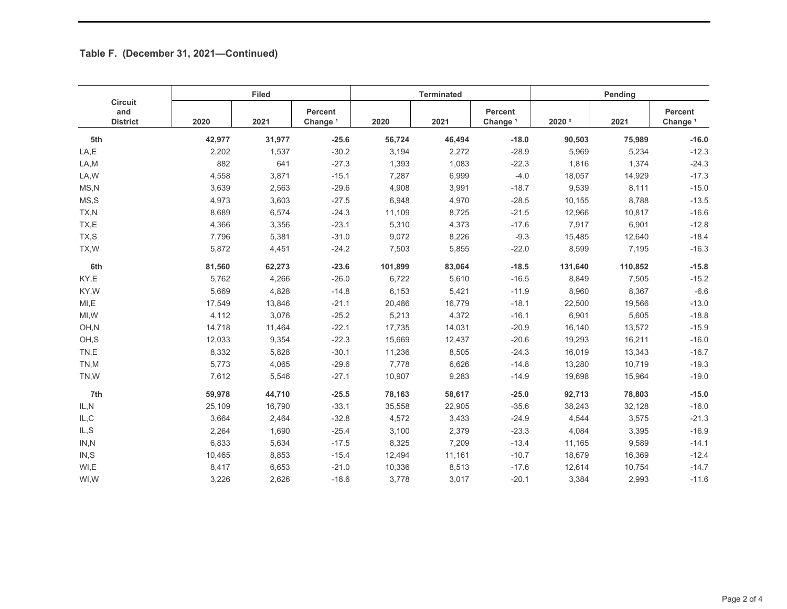## **Table F. (December 31, 2021—Continued)**

| <b>Circuit</b><br>and<br><b>District</b> | <b>Filed</b> |        |                                |         | <b>Terminated</b> |                                | Pending           |         |                                |
|------------------------------------------|--------------|--------|--------------------------------|---------|-------------------|--------------------------------|-------------------|---------|--------------------------------|
|                                          | 2020         | 2021   | Percent<br>Change <sup>1</sup> | 2020    | 2021              | Percent<br>Change <sup>1</sup> | 2020 <sup>2</sup> | 2021    | Percent<br>Change <sup>1</sup> |
| 5th                                      | 42,977       | 31,977 | $-25.6$                        | 56,724  | 46,494            | $-18.0$                        | 90,503            | 75,989  | $-16.0$                        |
| LA,E                                     | 2,202        | 1,537  | $-30.2$                        | 3,194   | 2,272             | $-28.9$                        | 5,969             | 5,234   | $-12.3$                        |
| LA,M                                     | 882          | 641    | $-27.3$                        | 1,393   | 1,083             | $-22.3$                        | 1,816             | 1,374   | $-24.3$                        |
| LA, W                                    | 4,558        | 3,871  | $-15.1$                        | 7,287   | 6,999             | $-4.0$                         | 18,057            | 14,929  | $-17.3$                        |
| MS.N                                     | 3,639        | 2,563  | $-29.6$                        | 4,908   | 3,991             | $-18.7$                        | 9,539             | 8,111   | $-15.0$                        |
| MS, S                                    | 4,973        | 3,603  | $-27.5$                        | 6,948   | 4,970             | $-28.5$                        | 10,155            | 8,788   | $-13.5$                        |
| TX,N                                     | 8,689        | 6,574  | $-24.3$                        | 11,109  | 8,725             | $-21.5$                        | 12,966            | 10,817  | $-16.6$                        |
| TX,E                                     | 4,366        | 3,356  | $-23.1$                        | 5,310   | 4,373             | $-17.6$                        | 7,917             | 6,901   | $-12.8$                        |
| TX,S                                     | 7,796        | 5,381  | $-31.0$                        | 9,072   | 8,226             | $-9.3$                         | 15,485            | 12,640  | $-18.4$                        |
| TX, W                                    | 5,872        | 4,451  | $-24.2$                        | 7,503   | 5,855             | $-22.0$                        | 8,599             | 7,195   | $-16.3$                        |
| 6th                                      | 81,560       | 62,273 | $-23.6$                        | 101,899 | 83,064            | $-18.5$                        | 131,640           | 110,852 | $-15.8$                        |
| KY,E                                     | 5,762        | 4,266  | $-26.0$                        | 6,722   | 5,610             | $-16.5$                        | 8,849             | 7,505   | $-15.2$                        |
| KY,W                                     | 5,669        | 4,828  | $-14.8$                        | 6,153   | 5,421             | $-11.9$                        | 8,960             | 8,367   | $-6.6$                         |
| MI, E                                    | 17,549       | 13,846 | $-21.1$                        | 20,486  | 16,779            | $-18.1$                        | 22,500            | 19,566  | $-13.0$                        |
| MI, W                                    | 4,112        | 3,076  | $-25.2$                        | 5,213   | 4,372             | $-16.1$                        | 6,901             | 5,605   | $-18.8$                        |
| OH,N                                     | 14,718       | 11,464 | $-22.1$                        | 17,735  | 14,031            | $-20.9$                        | 16,140            | 13,572  | $-15.9$                        |
| OH,S                                     | 12,033       | 9,354  | $-22.3$                        | 15,669  | 12,437            | $-20.6$                        | 19,293            | 16,211  | $-16.0$                        |
| TN,E                                     | 8,332        | 5,828  | $-30.1$                        | 11,236  | 8,505             | $-24.3$                        | 16,019            | 13,343  | $-16.7$                        |
| TN,M                                     | 5,773        | 4,065  | $-29.6$                        | 7,778   | 6,626             | $-14.8$                        | 13,280            | 10,719  | $-19.3$                        |
| TN,W                                     | 7,612        | 5,546  | $-27.1$                        | 10,907  | 9,283             | $-14.9$                        | 19,698            | 15,964  | $-19.0$                        |
| 7th                                      | 59,978       | 44,710 | $-25.5$                        | 78,163  | 58,617            | $-25.0$                        | 92,713            | 78,803  | $-15.0$                        |
| IL,N                                     | 25,109       | 16.790 | $-33.1$                        | 35,558  | 22,905            | $-35.6$                        | 38,243            | 32,128  | $-16.0$                        |
| IL, C                                    | 3,664        | 2,464  | $-32.8$                        | 4,572   | 3,433             | $-24.9$                        | 4,544             | 3,575   | $-21.3$                        |
| IL, S                                    | 2,264        | 1,690  | $-25.4$                        | 3,100   | 2,379             | $-23.3$                        | 4,084             | 3,395   | $-16.9$                        |
| IN, N                                    | 6,833        | 5,634  | $-17.5$                        | 8,325   | 7,209             | $-13.4$                        | 11,165            | 9,589   | $-14.1$                        |
| IN.S                                     | 10,465       | 8,853  | $-15.4$                        | 12,494  | 11,161            | $-10.7$                        | 18,679            | 16,369  | $-12.4$                        |
| WI,E                                     | 8,417        | 6,653  | $-21.0$                        | 10,336  | 8,513             | $-17.6$                        | 12,614            | 10,754  | $-14.7$                        |
| WI, W                                    | 3,226        | 2,626  | $-18.6$                        | 3,778   | 3,017             | $-20.1$                        | 3,384             | 2,993   | $-11.6$                        |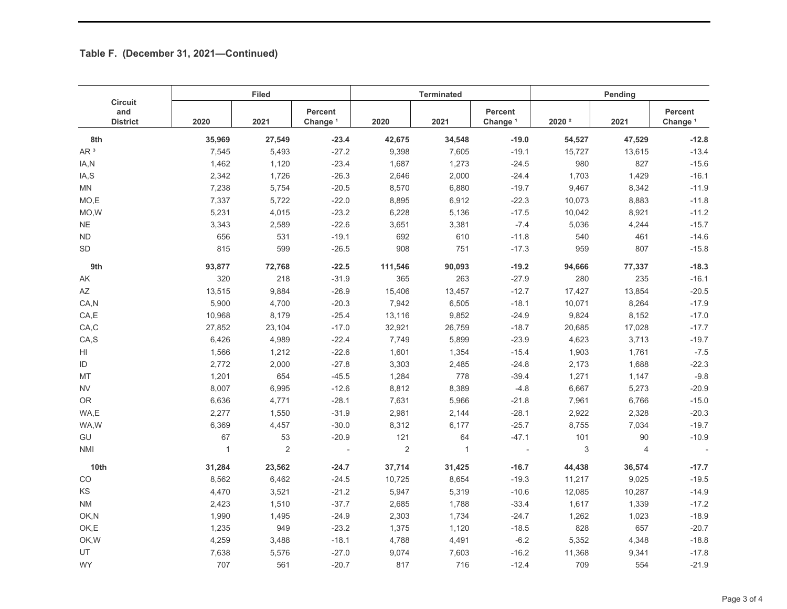## **Table F. (December 31, 2021—Continued)**

| <b>Circuit</b><br>and<br><b>District</b> | <b>Filed</b> |                |                                |                | <b>Terminated</b> |                                       | Pending           |                |                                       |
|------------------------------------------|--------------|----------------|--------------------------------|----------------|-------------------|---------------------------------------|-------------------|----------------|---------------------------------------|
|                                          | 2020         | 2021           | Percent<br>Change <sup>1</sup> | 2020           | 2021              | <b>Percent</b><br>Change <sup>1</sup> | 2020 <sup>2</sup> | 2021           | <b>Percent</b><br>Change <sup>1</sup> |
| 8th                                      | 35,969       | 27,549         | $-23.4$                        | 42,675         | 34,548            | $-19.0$                               | 54,527            | 47,529         | $-12.8$                               |
| AR <sup>3</sup>                          | 7,545        | 5,493          | $-27.2$                        | 9,398          | 7,605             | $-19.1$                               | 15,727            | 13,615         | $-13.4$                               |
| IA,N                                     | 1,462        | 1,120          | $-23.4$                        | 1,687          | 1,273             | $-24.5$                               | 980               | 827            | $-15.6$                               |
| IA,S                                     | 2,342        | 1,726          | $-26.3$                        | 2,646          | 2,000             | $-24.4$                               | 1,703             | 1,429          | $-16.1$                               |
| MN                                       | 7,238        | 5,754          | $-20.5$                        | 8,570          | 6,880             | $-19.7$                               | 9,467             | 8,342          | $-11.9$                               |
| MO,E                                     | 7,337        | 5,722          | $-22.0$                        | 8,895          | 6,912             | $-22.3$                               | 10,073            | 8,883          | $-11.8$                               |
| MO, W                                    | 5,231        | 4,015          | $-23.2$                        | 6,228          | 5,136             | $-17.5$                               | 10,042            | 8,921          | $-11.2$                               |
| <b>NE</b>                                | 3,343        | 2,589          | $-22.6$                        | 3,651          | 3,381             | $-7.4$                                | 5,036             | 4,244          | $-15.7$                               |
| ${\sf ND}$                               | 656          | 531            | $-19.1$                        | 692            | 610               | $-11.8$                               | 540               | 461            | $-14.6$                               |
| SD                                       | 815          | 599            | $-26.5$                        | 908            | 751               | $-17.3$                               | 959               | 807            | $-15.8$                               |
| 9th                                      | 93,877       | 72,768         | $-22.5$                        | 111,546        | 90,093            | $-19.2$                               | 94,666            | 77,337         | $-18.3$                               |
| AK                                       | 320          | 218            | $-31.9$                        | 365            | 263               | $-27.9$                               | 280               | 235            | $-16.1$                               |
| AZ                                       | 13,515       | 9,884          | $-26.9$                        | 15,406         | 13,457            | $-12.7$                               | 17,427            | 13,854         | $-20.5$                               |
| CA,N                                     | 5,900        | 4,700          | $-20.3$                        | 7,942          | 6,505             | $-18.1$                               | 10,071            | 8,264          | $-17.9$                               |
| CA, E                                    | 10,968       | 8,179          | $-25.4$                        | 13,116         | 9,852             | $-24.9$                               | 9,824             | 8,152          | $-17.0$                               |
| CA,C                                     | 27,852       | 23,104         | $-17.0$                        | 32,921         | 26,759            | $-18.7$                               | 20,685            | 17,028         | $-17.7$                               |
| CA, S                                    | 6,426        | 4,989          | $-22.4$                        | 7,749          | 5,899             | $-23.9$                               | 4,623             | 3,713          | $-19.7$                               |
| HI                                       | 1,566        | 1,212          | $-22.6$                        | 1,601          | 1,354             | $-15.4$                               | 1,903             | 1,761          | $-7.5$                                |
| ID                                       | 2,772        | 2,000          | $-27.8$                        | 3,303          | 2,485             | $-24.8$                               | 2,173             | 1,688          | $-22.3$                               |
| MT                                       | 1,201        | 654            | $-45.5$                        | 1,284          | 778               | $-39.4$                               | 1,271             | 1,147          | $-9.8$                                |
| <b>NV</b>                                | 8,007        | 6,995          | $-12.6$                        | 8,812          | 8,389             | $-4.8$                                | 6,667             | 5,273          | $-20.9$                               |
| <b>OR</b>                                | 6,636        | 4,771          | $-28.1$                        | 7,631          | 5,966             | $-21.8$                               | 7,961             | 6,766          | $-15.0$                               |
| WA,E                                     | 2,277        | 1,550          | $-31.9$                        | 2,981          | 2,144             | $-28.1$                               | 2,922             | 2,328          | $-20.3$                               |
| WA,W                                     | 6,369        | 4,457          | $-30.0$                        | 8,312          | 6,177             | $-25.7$                               | 8,755             | 7,034          | $-19.7$                               |
| GU                                       | 67           | 53             | $-20.9$                        | 121            | 64                | $-47.1$                               | 101               | 90             | $-10.9$                               |
| <b>NMI</b>                               | $\mathbf{1}$ | $\overline{2}$ |                                | $\overline{2}$ | $\mathbf{1}$      |                                       | 3                 | $\overline{4}$ |                                       |
| 10th                                     | 31,284       | 23,562         | $-24.7$                        | 37,714         | 31,425            | $-16.7$                               | 44,438            | 36,574         | $-17.7$                               |
| $_{\rm CO}$                              | 8,562        | 6,462          | $-24.5$                        | 10,725         | 8,654             | $-19.3$                               | 11,217            | 9,025          | $-19.5$                               |
| KS                                       | 4,470        | 3,521          | $-21.2$                        | 5,947          | 5,319             | $-10.6$                               | 12,085            | 10,287         | $-14.9$                               |
| <b>NM</b>                                | 2,423        | 1,510          | $-37.7$                        | 2,685          | 1,788             | $-33.4$                               | 1,617             | 1,339          | $-17.2$                               |
| OK,N                                     | 1,990        | 1,495          | $-24.9$                        | 2,303          | 1,734             | $-24.7$                               | 1,262             | 1,023          | $-18.9$                               |
| OK,E                                     | 1,235        | 949            | $-23.2$                        | 1,375          | 1,120             | $-18.5$                               | 828               | 657            | $-20.7$                               |
| OK, W                                    | 4,259        | 3,488          | $-18.1$                        | 4,788          | 4,491             | $-6.2$                                | 5,352             | 4,348          | $-18.8$                               |
| UT                                       | 7,638        | 5,576          | $-27.0$                        | 9,074          | 7,603             | $-16.2$                               | 11,368            | 9,341          | $-17.8$                               |
| <b>WY</b>                                | 707          | 561            | $-20.7$                        | 817            | 716               | $-12.4$                               | 709               | 554            | $-21.9$                               |